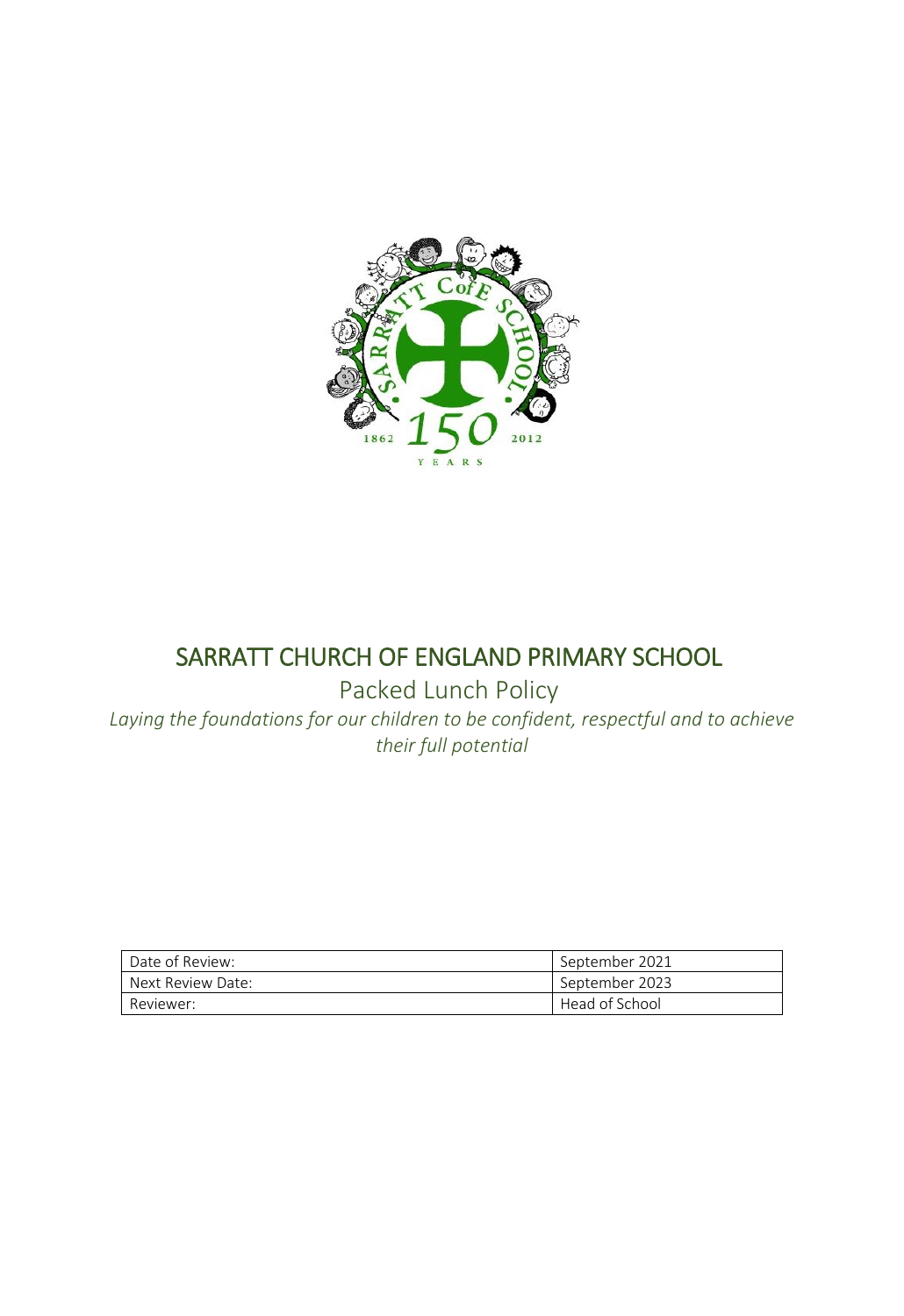

# SARRATT CHURCH OF ENGLAND PRIMARY SCHOOL

Packed Lunch Policy

*Laying the foundations for our children to be confident, respectful and to achieve their full potential*

| Date of Review:   | September 2021 |
|-------------------|----------------|
| Next Review Date: | September 2023 |
| Reviewer:         | Head of School |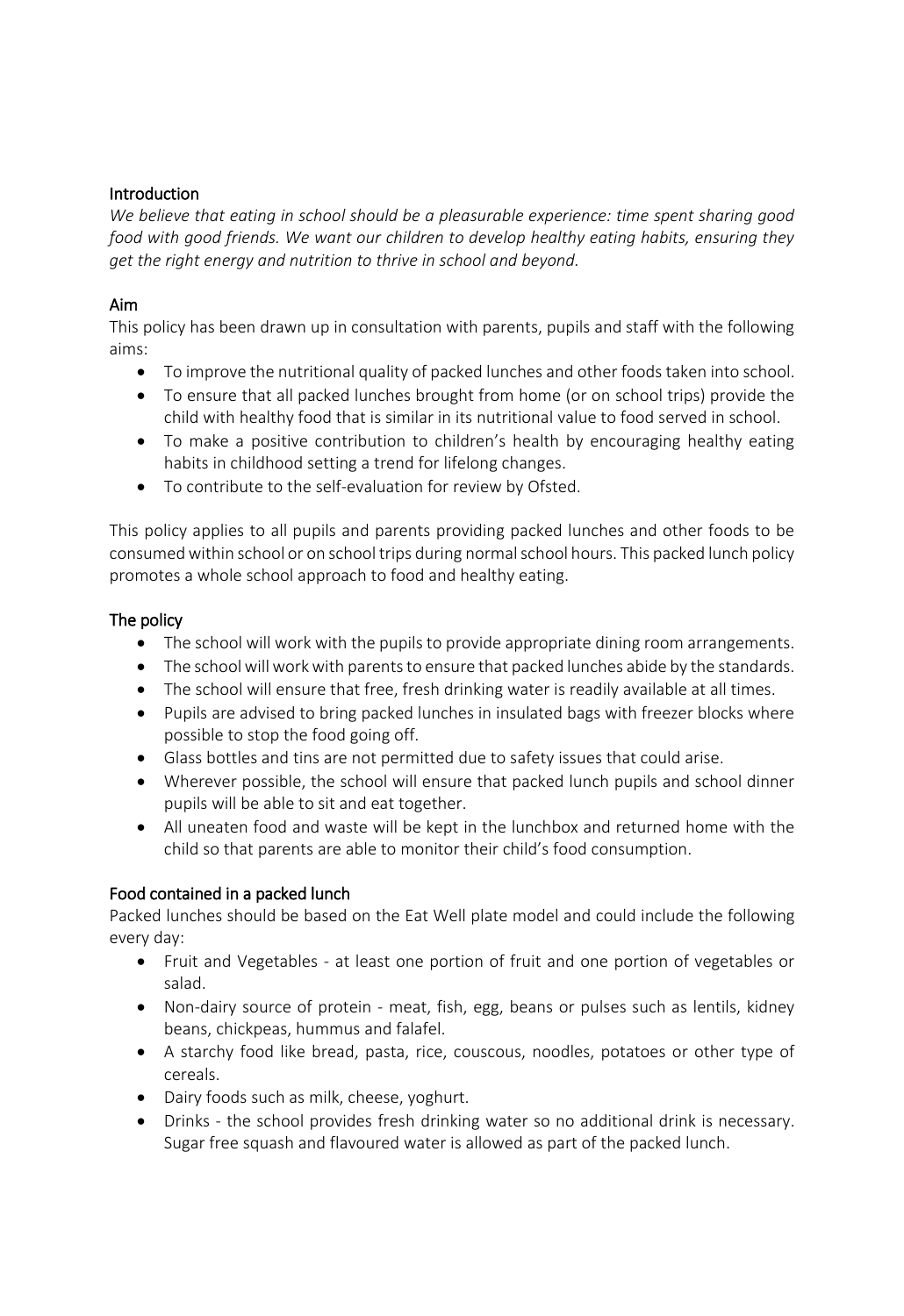# Introduction

*We believe that eating in school should be a pleasurable experience: time spent sharing good food with good friends. We want our children to develop healthy eating habits, ensuring they get the right energy and nutrition to thrive in school and beyond.* 

# Aim

This policy has been drawn up in consultation with parents, pupils and staff with the following aims:

- To improve the nutritional quality of packed lunches and other foods taken into school.
- To ensure that all packed lunches brought from home (or on school trips) provide the child with healthy food that is similar in its nutritional value to food served in school.
- To make a positive contribution to children's health by encouraging healthy eating habits in childhood setting a trend for lifelong changes.
- To contribute to the self-evaluation for review by Ofsted.

This policy applies to all pupils and parents providing packed lunches and other foods to be consumed within school or on school trips during normal school hours. This packed lunch policy promotes a whole school approach to food and healthy eating.

# The policy

- The school will work with the pupils to provide appropriate dining room arrangements.
- The school will work with parents to ensure that packed lunches abide by the standards.
- The school will ensure that free, fresh drinking water is readily available at all times.
- Pupils are advised to bring packed lunches in insulated bags with freezer blocks where possible to stop the food going off.
- Glass bottles and tins are not permitted due to safety issues that could arise.
- Wherever possible, the school will ensure that packed lunch pupils and school dinner pupils will be able to sit and eat together.
- All uneaten food and waste will be kept in the lunchbox and returned home with the child so that parents are able to monitor their child's food consumption.

# Food contained in a packed lunch

Packed lunches should be based on the Eat Well plate model and could include the following every day:

- Fruit and Vegetables at least one portion of fruit and one portion of vegetables or salad.
- Non-dairy source of protein meat, fish, egg, beans or pulses such as lentils, kidney beans, chickpeas, hummus and falafel.
- A starchy food like bread, pasta, rice, couscous, noodles, potatoes or other type of cereals.
- Dairy foods such as milk, cheese, yoghurt.
- Drinks the school provides fresh drinking water so no additional drink is necessary. Sugar free squash and flavoured water is allowed as part of the packed lunch.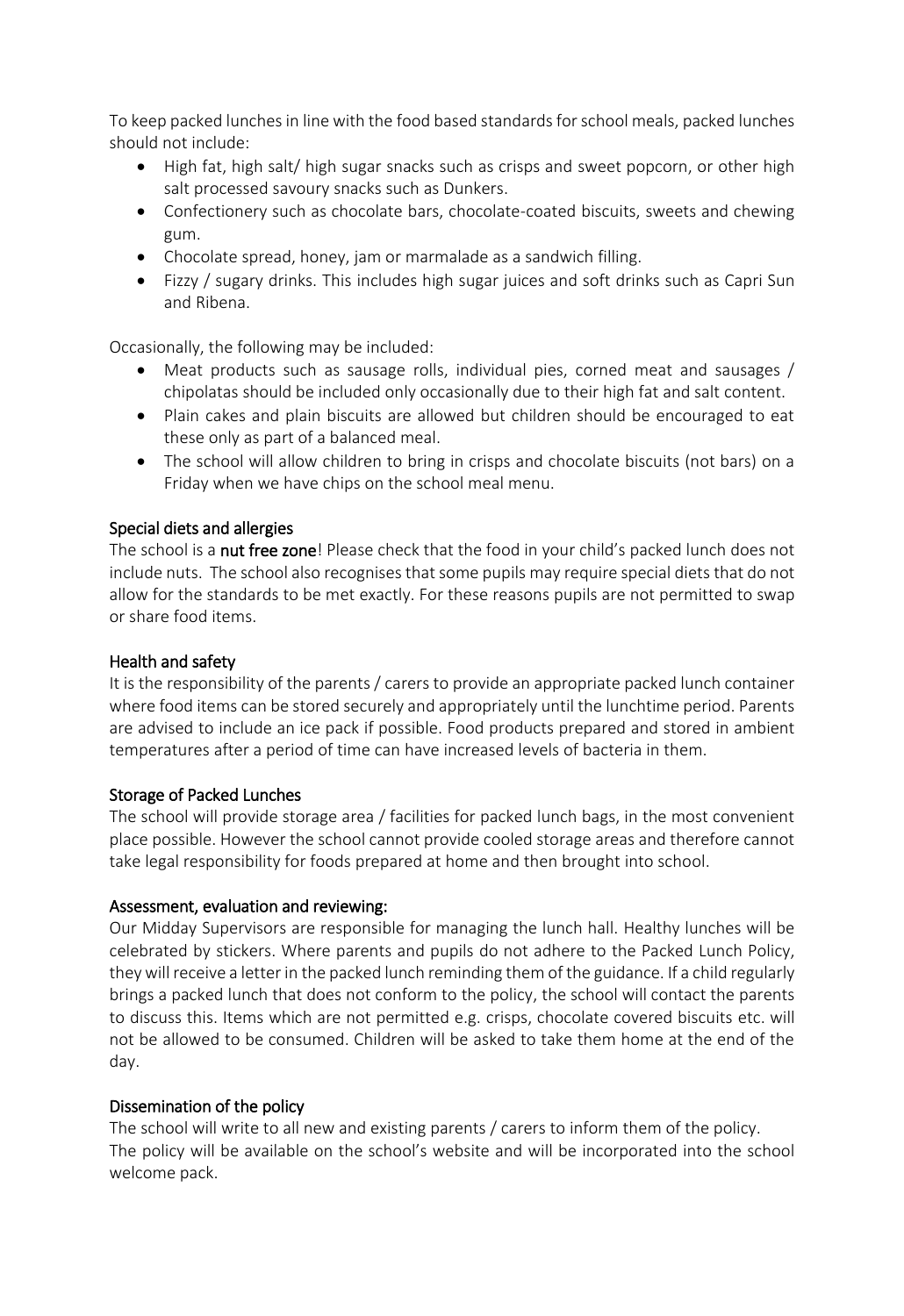To keep packed lunches in line with the food based standards for school meals, packed lunches should not include:

- High fat, high salt/ high sugar snacks such as crisps and sweet popcorn, or other high salt processed savoury snacks such as Dunkers.
- Confectionery such as chocolate bars, chocolate-coated biscuits, sweets and chewing gum.
- Chocolate spread, honey, jam or marmalade as a sandwich filling.
- Fizzy / sugary drinks. This includes high sugar juices and soft drinks such as Capri Sun and Ribena.

Occasionally, the following may be included:

- Meat products such as sausage rolls, individual pies, corned meat and sausages / chipolatas should be included only occasionally due to their high fat and salt content.
- Plain cakes and plain biscuits are allowed but children should be encouraged to eat these only as part of a balanced meal.
- The school will allow children to bring in crisps and chocolate biscuits (not bars) on a Friday when we have chips on the school meal menu.

# Special diets and allergies

The school is a nut free zone! Please check that the food in your child's packed lunch does not include nuts. The school also recognises that some pupils may require special diets that do not allow for the standards to be met exactly. For these reasons pupils are not permitted to swap or share food items.

#### Health and safety

It is the responsibility of the parents / carers to provide an appropriate packed lunch container where food items can be stored securely and appropriately until the lunchtime period. Parents are advised to include an ice pack if possible. Food products prepared and stored in ambient temperatures after a period of time can have increased levels of bacteria in them.

#### Storage of Packed Lunches

The school will provide storage area / facilities for packed lunch bags, in the most convenient place possible. However the school cannot provide cooled storage areas and therefore cannot take legal responsibility for foods prepared at home and then brought into school.

#### Assessment, evaluation and reviewing:

Our Midday Supervisors are responsible for managing the lunch hall. Healthy lunches will be celebrated by stickers. Where parents and pupils do not adhere to the Packed Lunch Policy, they will receive a letter in the packed lunch reminding them of the guidance. If a child regularly brings a packed lunch that does not conform to the policy, the school will contact the parents to discuss this. Items which are not permitted e.g. crisps, chocolate covered biscuits etc. will not be allowed to be consumed. Children will be asked to take them home at the end of the day.

#### Dissemination of the policy

The school will write to all new and existing parents / carers to inform them of the policy. The policy will be available on the school's website and will be incorporated into the school welcome pack.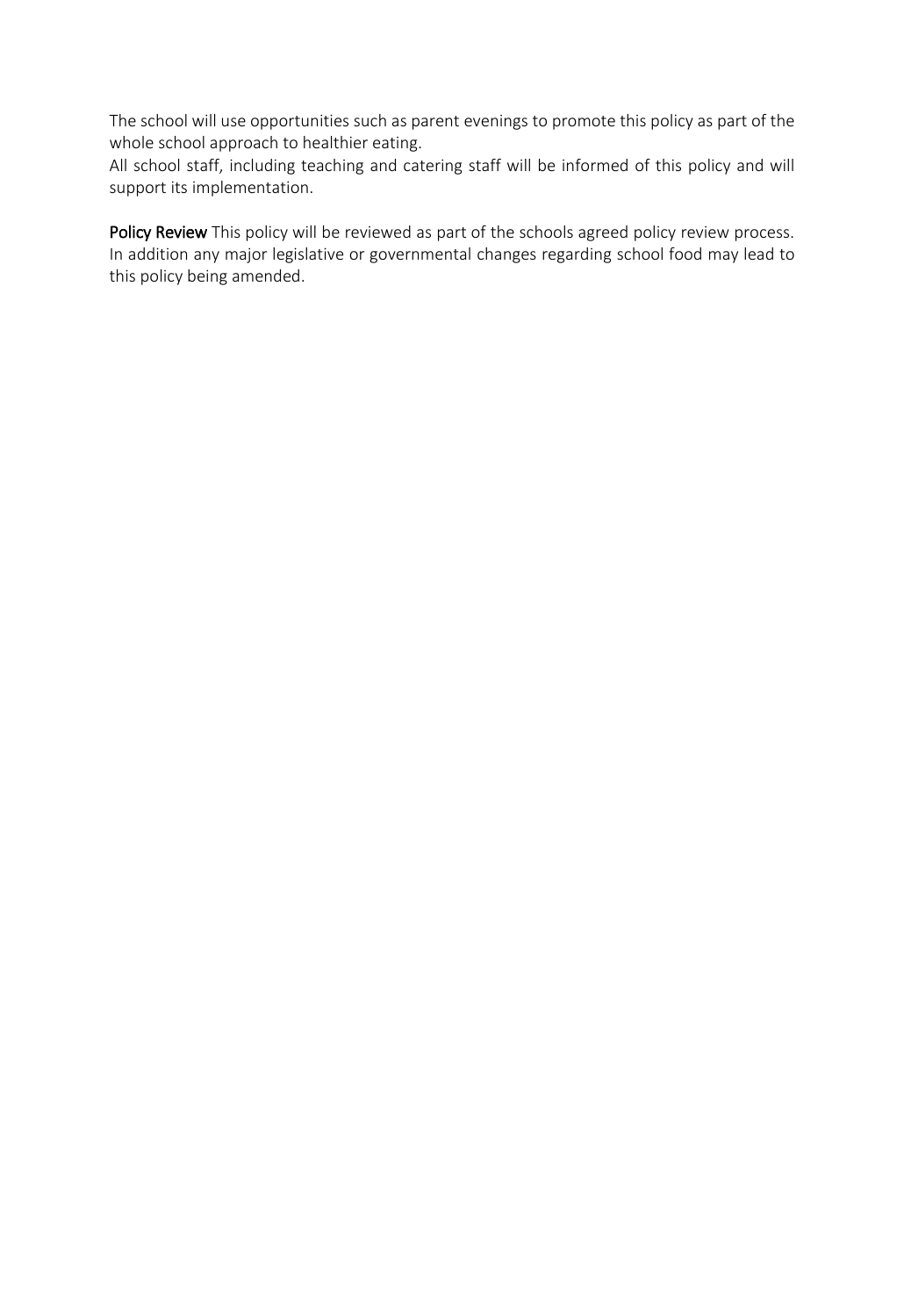The school will use opportunities such as parent evenings to promote this policy as part of the whole school approach to healthier eating.

All school staff, including teaching and catering staff will be informed of this policy and will support its implementation.

Policy Review This policy will be reviewed as part of the schools agreed policy review process. In addition any major legislative or governmental changes regarding school food may lead to this policy being amended.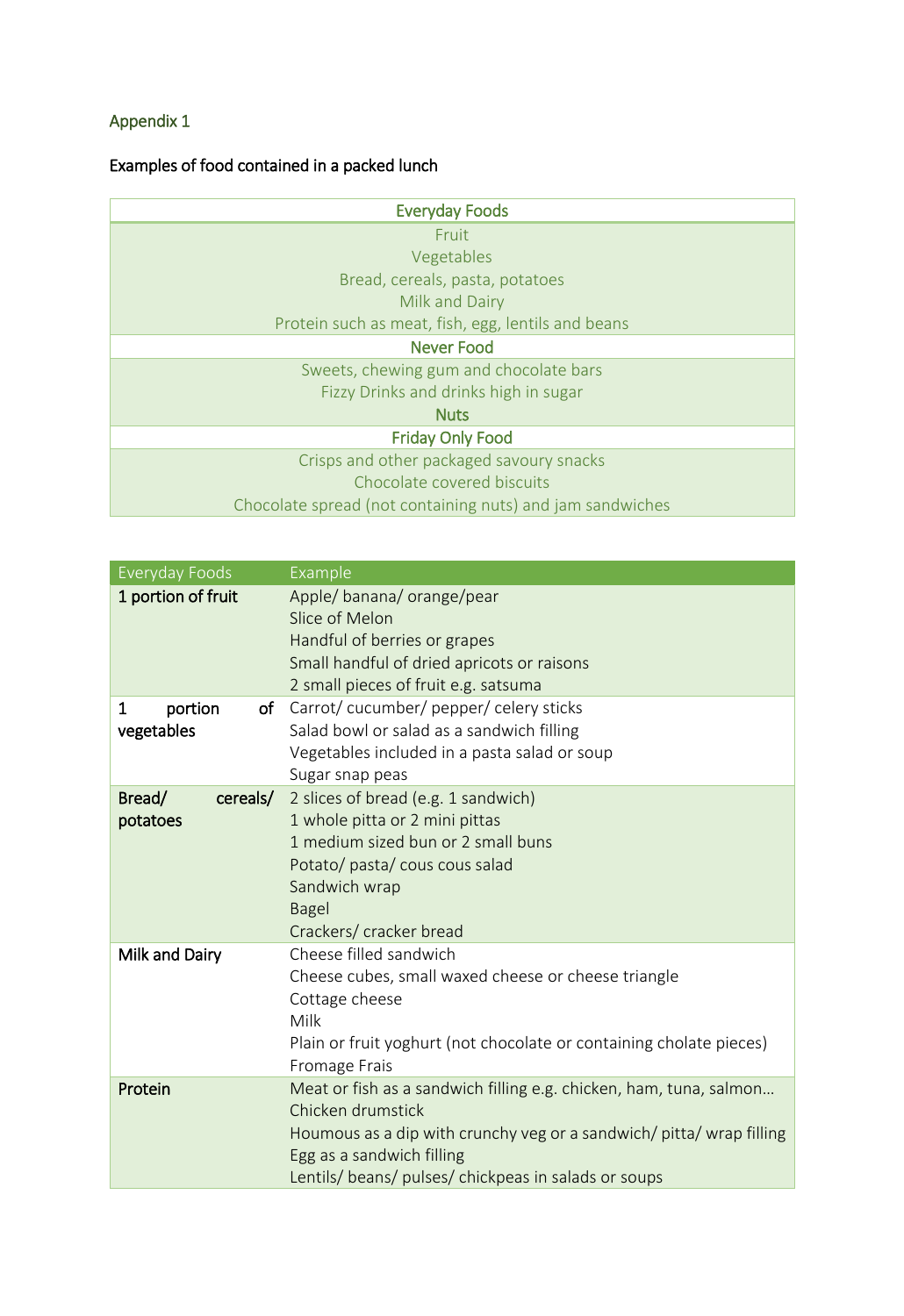# Appendix 1

# Examples of food contained in a packed lunch

| <b>Everyday Foods</b>                                     |  |  |
|-----------------------------------------------------------|--|--|
| Fruit                                                     |  |  |
| Vegetables                                                |  |  |
| Bread, cereals, pasta, potatoes                           |  |  |
| Milk and Dairy                                            |  |  |
| Protein such as meat, fish, egg, lentils and beans        |  |  |
| <b>Never Food</b>                                         |  |  |
| Sweets, chewing gum and chocolate bars                    |  |  |
| Fizzy Drinks and drinks high in sugar                     |  |  |
| <b>Nuts</b>                                               |  |  |
| <b>Friday Only Food</b>                                   |  |  |
| Crisps and other packaged savoury snacks                  |  |  |
| Chocolate covered biscuits                                |  |  |
| Chocolate spread (not containing nuts) and jam sandwiches |  |  |

| <b>Everyday Foods</b> | Example                                                                                           |
|-----------------------|---------------------------------------------------------------------------------------------------|
| 1 portion of fruit    | Apple/banana/orange/pear                                                                          |
|                       | Slice of Melon                                                                                    |
|                       | Handful of berries or grapes                                                                      |
|                       | Small handful of dried apricots or raisons                                                        |
|                       | 2 small pieces of fruit e.g. satsuma                                                              |
| portion<br>1          | of Carrot/cucumber/pepper/celery sticks                                                           |
| vegetables            | Salad bowl or salad as a sandwich filling                                                         |
|                       | Vegetables included in a pasta salad or soup                                                      |
|                       | Sugar snap peas                                                                                   |
| Bread/<br>cereals/    | 2 slices of bread (e.g. 1 sandwich)                                                               |
| potatoes              | 1 whole pitta or 2 mini pittas                                                                    |
|                       | 1 medium sized bun or 2 small buns                                                                |
|                       | Potato/ pasta/ cous cous salad                                                                    |
|                       | Sandwich wrap                                                                                     |
|                       | <b>Bagel</b>                                                                                      |
|                       | Crackers/ cracker bread                                                                           |
| Milk and Dairy        | Cheese filled sandwich                                                                            |
|                       | Cheese cubes, small waxed cheese or cheese triangle                                               |
|                       | Cottage cheese                                                                                    |
|                       | Milk                                                                                              |
|                       | Plain or fruit yoghurt (not chocolate or containing cholate pieces)                               |
|                       | Fromage Frais                                                                                     |
| Protein               | Meat or fish as a sandwich filling e.g. chicken, ham, tuna, salmon                                |
|                       | Chicken drumstick                                                                                 |
|                       | Houmous as a dip with crunchy veg or a sandwich/ pitta/ wrap filling<br>Egg as a sandwich filling |
|                       | Lentils/ beans/ pulses/ chickpeas in salads or soups                                              |